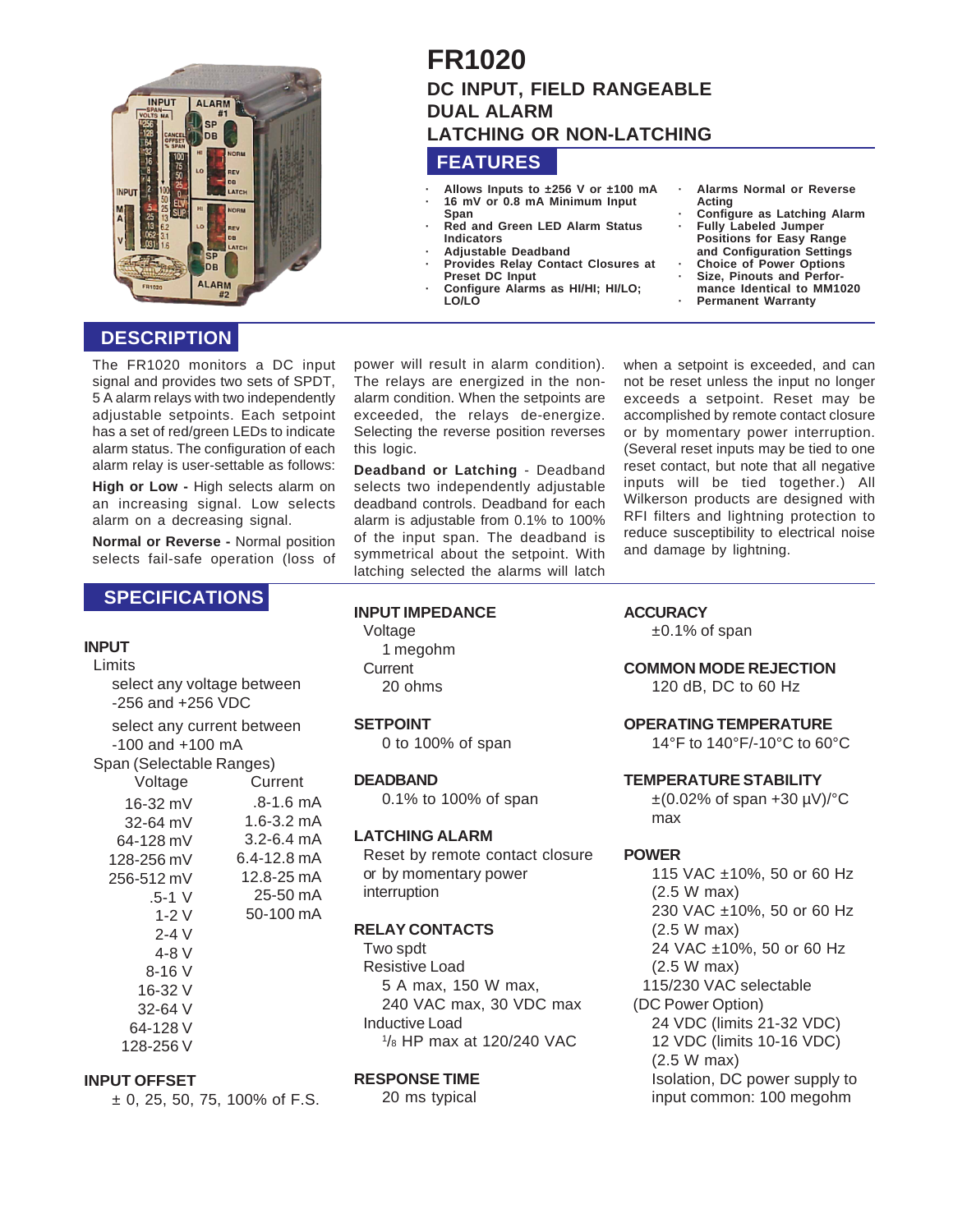

# **DESCRIPTION**

The FR1020 monitors a DC input signal and provides two sets of SPDT, 5 A alarm relays with two independently adiustable setpoints. Each setpoint has a set of red/green LEDs to indicate alarm status. The configuration of each alarm relay is user-settable as follows:

**High or Low -** High selects alarm on an increasing signal. Low selects alarm on a decreasing signal.

**Normal or Reverse -** Normal position selects fail-safe operation (loss of

# **SPECIFICATIONS**

## **INPUT**

Limits select any voltage between -256 and +256 VDC select any current between -100 and +100 mA Span (Selectable Ranges) Voltage Current .8-1.6 mA 1.6-3.2 mA 3.2-6.4 mA 6.4-12.8 mA 12.8-25 mA 25-50 mA 50-100 mA 16-32 mV 32-64 mV 64-128 mV 128-256 mV 256-512 mV .5-1 V 1-2 V 2-4 V

> 4-8 V 8-16 V 16-32 V 32-64 V 64-128 V 128-256 V

#### **INPUT OFFSET**

 $\pm$  0, 25, 50, 75, 100% of F.S.

# **FR1020 DC INPUT, FIELD RANGEABLE DUAL ALARM LATCHING OR NON-LATCHING**

# **FEATURES**

- **· Allows Inputs to ±256 V or ±100 mA · 16 mV or 0.8 mA Minimum Input Span**
- **· Red and Green LED Alarm Status Indicators**
- **· Adjustable Deadband**
- **· Provides Relay Contact Closures at Preset DC Input**
- **· Configure Alarms as HI/HI; HI/LO; LO/LO**
- **· Alarms Normal or Reverse Acting**
- **· Configure as Latching Alarm · Fully Labeled Jumper**
- **Positions for Easy Range and Configuration Settings · Choice of Power Options** Size, Pinouts and Perfor**mance Identical to MM1020**
- **· Permanent Warranty**

power will result in alarm condition). The relays are energized in the nonalarm condition. When the setpoints are exceeded, the relays de-energize. Selecting the reverse position reverses this logic.

**Deadband or Latching** - Deadband selects two independently adjustable deadband controls. Deadband for each alarm is adjustable from 0.1% to 100% of the input span. The deadband is symmetrical about the setpoint. With latching selected the alarms will latch

**INPUT IMPEDANCE**

Voltage 1 megohm **Current** 20 ohms

**SETPOINT** 0 to 100% of span

## **DEADBAND**

0.1% to 100% of span

#### **LATCHING ALARM**

Reset by remote contact closure or by momentary power interruption

## **RELAY CONTACTS**

Two spdt Resistive Load 5 A max, 150 W max, 240 VAC max, 30 VDC max Inductive Load 1 /8 HP max at 120/240 VAC

### **RESPONSE TIME**

20 ms typical

when a setpoint is exceeded, and can not be reset unless the input no longer exceeds a setpoint. Reset may be accomplished by remote contact closure or by momentary power interruption. (Several reset inputs may be tied to one reset contact, but note that all negative inputs will be tied together.) All Wilkerson products are designed with RFI filters and lightning protection to reduce susceptibility to electrical noise and damage by lightning.

#### **ACCURACY**

±0.1% of span

**COMMON MODE REJECTION**

120 dB, DC to 60 Hz

#### **OPERATING TEMPERATURE**

14°F to 140°F/-10°C to 60°C

#### **TEMPERATURE STABILITY**

 $\pm$ (0.02% of span +30 µV)/ $^{\circ}$ C max

#### **POWER**

115 VAC ±10%, 50 or 60 Hz (2.5 W max) 230 VAC ±10%, 50 or 60 Hz (2.5 W max) 24 VAC ±10%, 50 or 60 Hz (2.5 W max) 115/230 VAC selectable (DC Power Option) 24 VDC (limits 21-32 VDC) 12 VDC (limits 10-16 VDC) (2.5 W max) Isolation, DC power supply to input common: 100 megohm